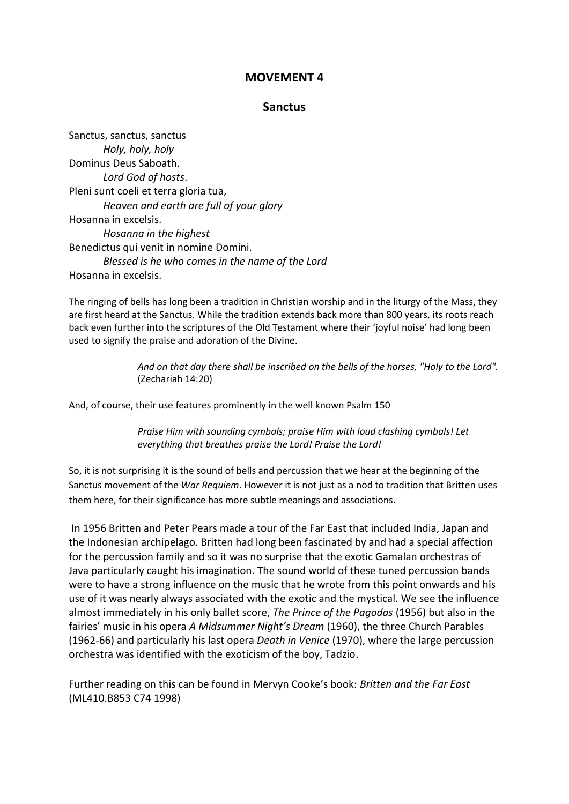## **MOVEMENT 4**

## **Sanctus**

Sanctus, sanctus, sanctus *Holy, holy, holy* Dominus Deus Saboath. *Lord God of hosts*. Pleni sunt coeli et terra gloria tua, *Heaven and earth are full of your glory* Hosanna in excelsis. *Hosanna in the highest* Benedictus qui venit in nomine Domini. *Blessed is he who comes in the name of the Lord* Hosanna in excelsis.

The ringing of bells has long been a tradition in Christian worship and in the liturgy of the Mass, they are first heard at the Sanctus. While the tradition extends back more than 800 years, its roots reach back even further into the scriptures of the Old Testament where their 'joyful noise' had long been used to signify the praise and adoration of the Divine.

> *And on that day there shall be inscribed on the bells of the horses, "Holy to the Lord".*  (Zechariah 14:20)

And, of course, their use features prominently in the well known Psalm 150

*Praise Him with sounding cymbals; praise Him with loud clashing cymbals! Let everything that breathes praise the Lord! Praise the Lord!*

So, it is not surprising it is the sound of bells and percussion that we hear at the beginning of the Sanctus movement of the *War Requiem*. However it is not just as a nod to tradition that Britten uses them here, for their significance has more subtle meanings and associations.

In 1956 Britten and Peter Pears made a tour of the Far East that included India, Japan and the Indonesian archipelago. Britten had long been fascinated by and had a special affection for the percussion family and so it was no surprise that the exotic Gamalan orchestras of Java particularly caught his imagination. The sound world of these tuned percussion bands were to have a strong influence on the music that he wrote from this point onwards and his use of it was nearly always associated with the exotic and the mystical. We see the influence almost immediately in his only ballet score, *The Prince of the Pagodas* (1956) but also in the fairies' music in his opera *A Midsummer Night's Dream* (1960), the three Church Parables (1962-66) and particularly his last opera *Death in Venice* (1970), where the large percussion orchestra was identified with the exoticism of the boy, Tadzio.

Further reading on this can be found in Mervyn Cooke's book: *Britten and the Far East* (ML410.B853 C74 1998)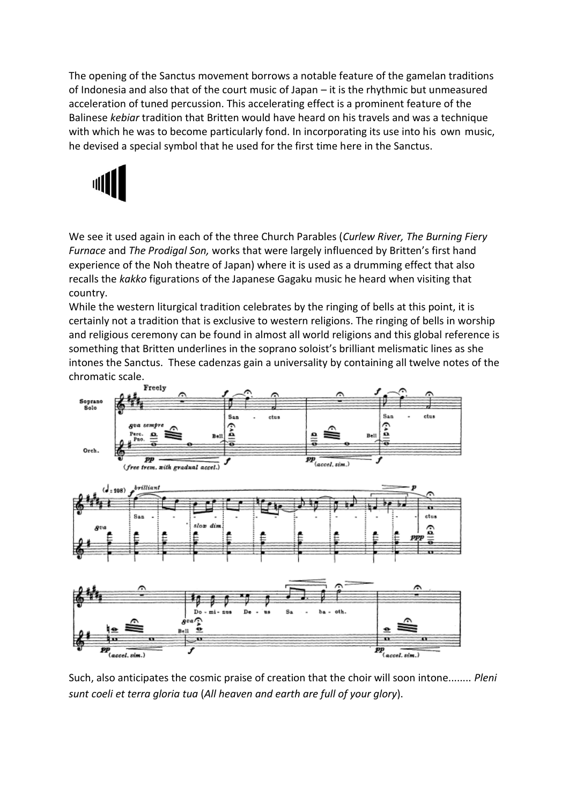The opening of the Sanctus movement borrows a notable feature of the gamelan traditions of Indonesia and also that of the court music of Japan – it is the rhythmic but unmeasured acceleration of tuned percussion. This accelerating effect is a prominent feature of the Balinese *kebiar* tradition that Britten would have heard on his travels and was a technique with which he was to become particularly fond. In incorporating its use into his own music, he devised a special symbol that he used for the first time here in the Sanctus.



We see it used again in each of the three Church Parables (*Curlew River, The Burning Fiery Furnace* and *The Prodigal Son,* works that were largely influenced by Britten's first hand experience of the Noh theatre of Japan) where it is used as a drumming effect that also recalls the *kakko* figurations of the Japanese Gagaku music he heard when visiting that country.

While the western liturgical tradition celebrates by the ringing of bells at this point, it is certainly not a tradition that is exclusive to western religions. The ringing of bells in worship and religious ceremony can be found in almost all world religions and this global reference is something that Britten underlines in the soprano soloist's brilliant melismatic lines as she intones the Sanctus. These cadenzas gain a universality by containing all twelve notes of the chromatic scale.<br>Freely



Such, also anticipates the cosmic praise of creation that the choir will soon intone........ *Pleni sunt coeli et terra gloria tua* (*All heaven and earth are full of your glory*).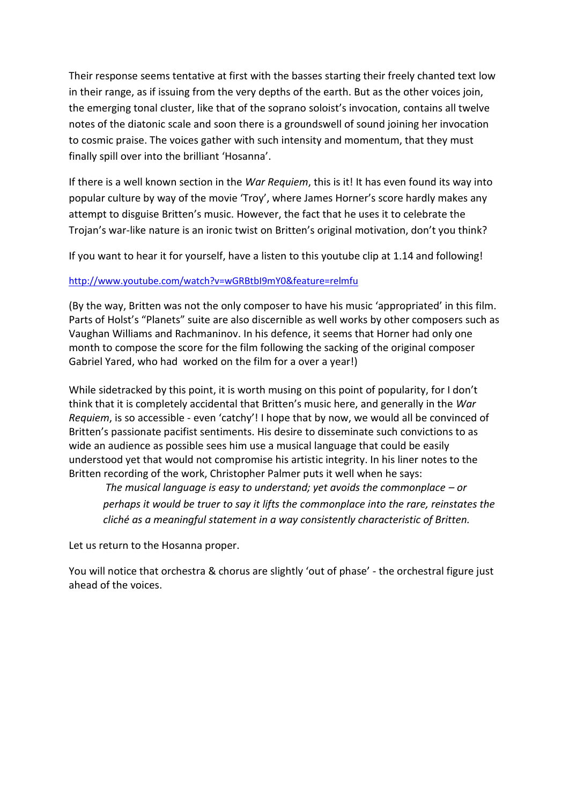Their response seems tentative at first with the basses starting their freely chanted text low in their range, as if issuing from the very depths of the earth. But as the other voices join, the emerging tonal cluster, like that of the soprano soloist's invocation, contains all twelve notes of the diatonic scale and soon there is a groundswell of sound joining her invocation to cosmic praise. The voices gather with such intensity and momentum, that they must finally spill over into the brilliant 'Hosanna'.

If there is a well known section in the *War Requiem*, this is it! It has even found its way into popular culture by way of the movie 'Troy', where James Horner's score hardly makes any attempt to disguise Britten's music. However, the fact that he uses it to celebrate the Trojan's war-like nature is an ironic twist on Britten's original motivation, don't you think?

If you want to hear it for yourself, have a listen to this youtube clip at 1.14 and following!

## <http://www.youtube.com/watch?v=wGRBtbI9mY0&feature=relmfu>

(By the way, Britten was not the only composer to have his music 'appropriated' in this film. Parts of Holst's "Planets" suite are also discernible as well works by other composers such as Vaughan Williams and Rachmaninov. In his defence, it seems that Horner had only one month to compose the score for the film following the sacking of the original composer Gabriel Yared, who had worked on the film for a over a year!)

While sidetracked by this point, it is worth musing on this point of popularity, for I don't think that it is completely accidental that Britten's music here, and generally in the *War Requiem*, is so accessible - even 'catchy'! I hope that by now, we would all be convinced of Britten's passionate pacifist sentiments. His desire to disseminate such convictions to as wide an audience as possible sees him use a musical language that could be easily understood yet that would not compromise his artistic integrity. In his liner notes to the Britten recording of the work, Christopher Palmer puts it well when he says:

*The musical language is easy to understand; yet avoids the commonplace – or perhaps it would be truer to say it lifts the commonplace into the rare, reinstates the cliché as a meaningful statement in a way consistently characteristic of Britten.*

Let us return to the Hosanna proper.

You will notice that orchestra & chorus are slightly 'out of phase' - the orchestral figure just ahead of the voices.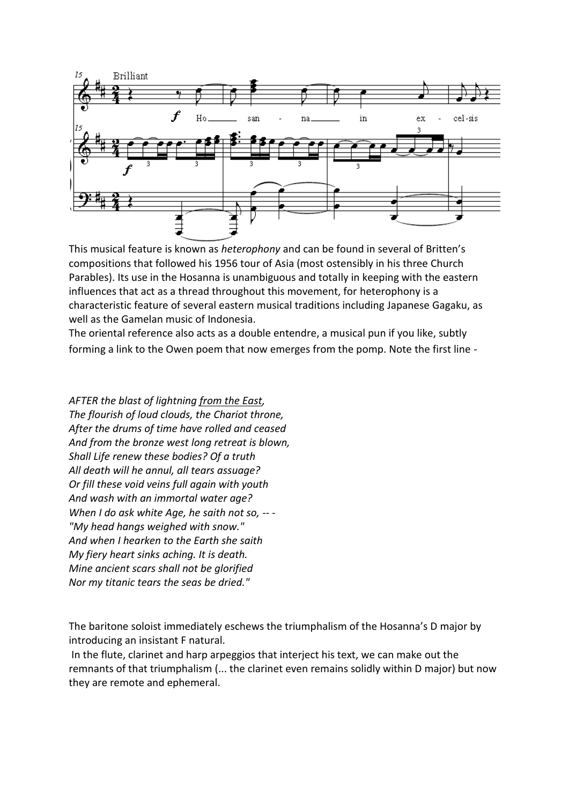

This musical feature is known as *heterophony* and can be found in several of Britten's compositions that followed his 1956 tour of Asia (most ostensibly in his three Church Parables). Its use in the Hosanna is unambiguous and totally in keeping with the eastern influences that act as a thread throughout this movement, for heterophony is a characteristic feature of several eastern musical traditions including Japanese Gagaku, as well as the Gamelan music of Indonesia.

The oriental reference also acts as a double entendre, a musical pun if you like, subtly forming a link to the Owen poem that now emerges from the pomp. Note the first line -

*AFTER the blast of lightning from the East, The flourish of loud clouds, the Chariot throne, After the drums of time have rolled and ceased And from the bronze west long retreat is blown, Shall Life renew these bodies? Of a truth All death will he annul, all tears assuage? Or fill these void veins full again with youth And wash with an immortal water age? When I do ask white Age, he saith not so, -- - "My head hangs weighed with snow." And when I hearken to the Earth she saith My fiery heart sinks aching. It is death. Mine ancient scars shall not be glorified Nor my titanic tears the seas be dried."*

The baritone soloist immediately eschews the triumphalism of the Hosanna's D major by introducing an insistant F natural.

In the flute, clarinet and harp arpeggios that interject his text, we can make out the remnants of that triumphalism (... the clarinet even remains solidly within D major) but now they are remote and ephemeral.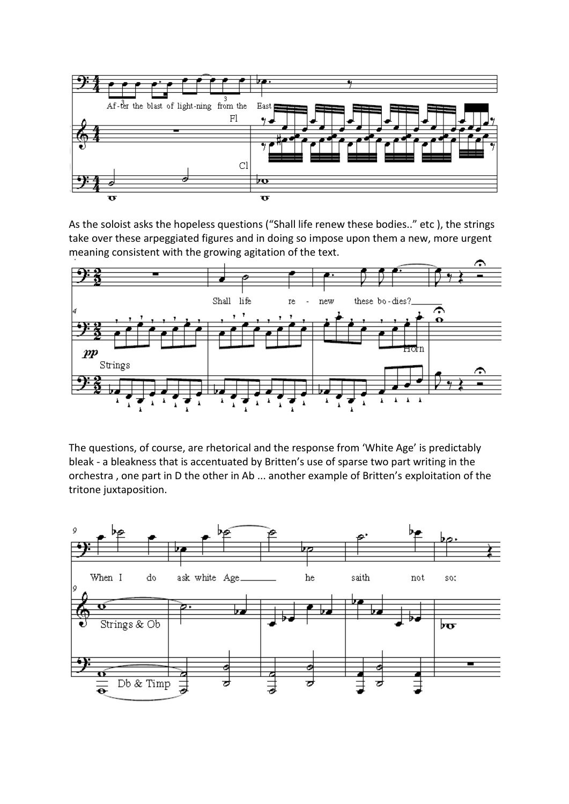

As the soloist asks the hopeless questions ("Shall life renew these bodies.." etc ), the strings take over these arpeggiated figures and in doing so impose upon them a new, more urgent meaning consistent with the growing agitation of the text.



The questions, of course, are rhetorical and the response from 'White Age' is predictably bleak - a bleakness that is accentuated by Britten's use of sparse two part writing in the orchestra , one part in D the other in Ab ... another example of Britten's exploitation of the tritone juxtaposition.